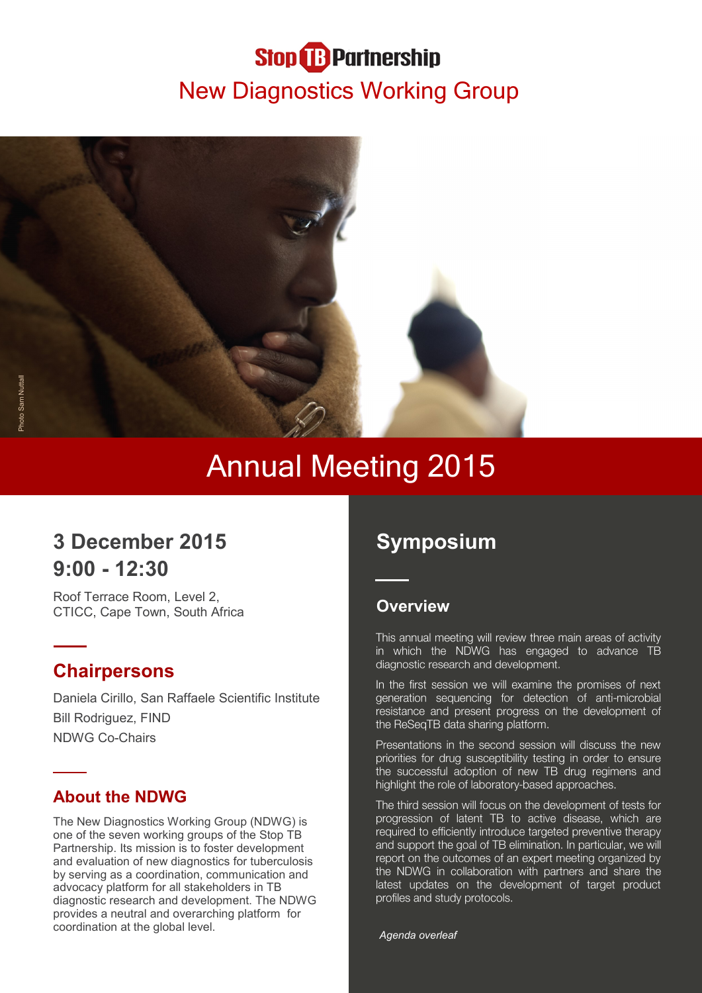# **Stop B** Partnership New Diagnostics Working Group



# Annual Meeting 2015

# **3 December 2015 9:00 - 12:30**

Roof Terrace Room, Level 2, CTICC, Cape Town, South Africa

# **Chairpersons**

Daniela Cirillo, San Raffaele Scientific Institute Bill Rodriguez, FIND NDWG Co-Chairs

## **About the NDWG**

The New Diagnostics Working Group (NDWG) is one of the seven working groups of the Stop TB Partnership. Its mission is to foster development and evaluation of new diagnostics for tuberculosis by serving as a coordination, communication and advocacy platform for all stakeholders in TB diagnostic research and development. The NDWG provides a neutral and overarching platform for coordination at the global level.

# **Symposium**

#### **Overview**

This annual meeting will review three main areas of activity in which the NDWG has engaged to advance TB diagnostic research and development.

In the first session we will examine the promises of next generation sequencing for detection of anti-microbial resistance and present progress on the development of the ReSeqTB data sharing platform.

Presentations in the second session will discuss the new priorities for drug susceptibility testing in order to ensure the successful adoption of new TB drug regimens and highlight the role of laboratory-based approaches.

The third session will focus on the development of tests for progression of latent TB to active disease, which are required to efficiently introduce targeted preventive therapy and support the goal of TB elimination. In particular, we will report on the outcomes of an expert meeting organized by the NDWG in collaboration with partners and share the latest updates on the development of target product profiles and study protocols.

*Agenda overleaf*